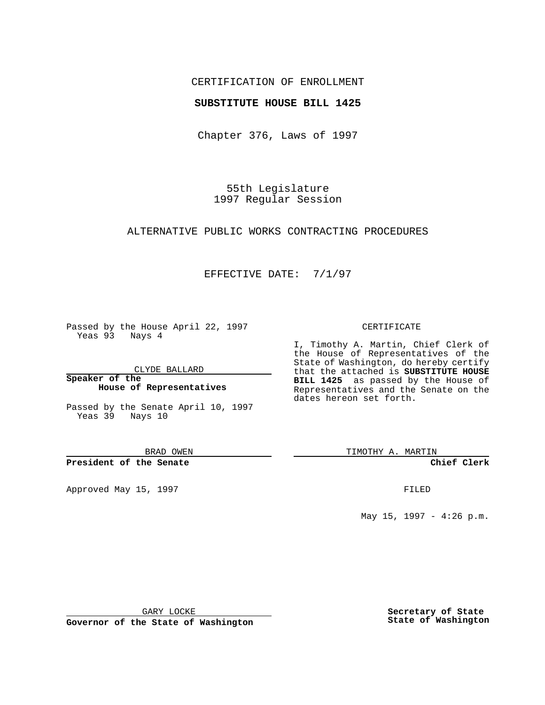### CERTIFICATION OF ENROLLMENT

### **SUBSTITUTE HOUSE BILL 1425**

Chapter 376, Laws of 1997

55th Legislature 1997 Regular Session

## ALTERNATIVE PUBLIC WORKS CONTRACTING PROCEDURES

## EFFECTIVE DATE: 7/1/97

Passed by the House April 22, 1997 Yeas 93 Nays 4

CLYDE BALLARD

**Speaker of the House of Representatives**

Passed by the Senate April 10, 1997 Yeas 39 Nays 10

BRAD OWEN

#### **President of the Senate**

Approved May 15, 1997 **FILED** 

#### CERTIFICATE

I, Timothy A. Martin, Chief Clerk of the House of Representatives of the State of Washington, do hereby certify that the attached is **SUBSTITUTE HOUSE BILL 1425** as passed by the House of Representatives and the Senate on the dates hereon set forth.

TIMOTHY A. MARTIN

### **Chief Clerk**

May 15, 1997 - 4:26 p.m.

GARY LOCKE

**Governor of the State of Washington**

**Secretary of State State of Washington**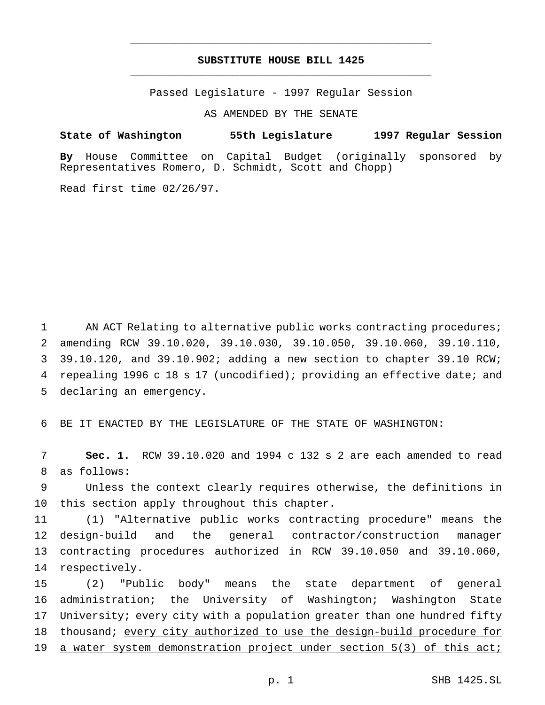# **SUBSTITUTE HOUSE BILL 1425** \_\_\_\_\_\_\_\_\_\_\_\_\_\_\_\_\_\_\_\_\_\_\_\_\_\_\_\_\_\_\_\_\_\_\_\_\_\_\_\_\_\_\_\_\_\_\_

\_\_\_\_\_\_\_\_\_\_\_\_\_\_\_\_\_\_\_\_\_\_\_\_\_\_\_\_\_\_\_\_\_\_\_\_\_\_\_\_\_\_\_\_\_\_\_

Passed Legislature - 1997 Regular Session

AS AMENDED BY THE SENATE

**State of Washington 55th Legislature 1997 Regular Session**

**By** House Committee on Capital Budget (originally sponsored by Representatives Romero, D. Schmidt, Scott and Chopp)

Read first time 02/26/97.

 AN ACT Relating to alternative public works contracting procedures; amending RCW 39.10.020, 39.10.030, 39.10.050, 39.10.060, 39.10.110, 39.10.120, and 39.10.902; adding a new section to chapter 39.10 RCW; repealing 1996 c 18 s 17 (uncodified); providing an effective date; and declaring an emergency.

BE IT ENACTED BY THE LEGISLATURE OF THE STATE OF WASHINGTON:

 **Sec. 1.** RCW 39.10.020 and 1994 c 132 s 2 are each amended to read as follows:

 Unless the context clearly requires otherwise, the definitions in this section apply throughout this chapter.

 (1) "Alternative public works contracting procedure" means the design-build and the general contractor/construction manager contracting procedures authorized in RCW 39.10.050 and 39.10.060, respectively.

 (2) "Public body" means the state department of general administration; the University of Washington; Washington State University; every city with a population greater than one hundred fifty 18 thousand; every city authorized to use the design-build procedure for a water system demonstration project under section 5(3) of this act;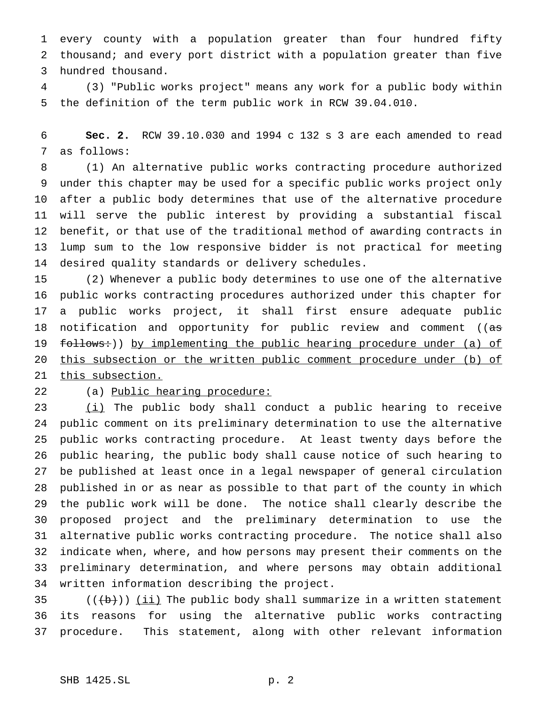every county with a population greater than four hundred fifty thousand; and every port district with a population greater than five hundred thousand.

 (3) "Public works project" means any work for a public body within the definition of the term public work in RCW 39.04.010.

 **Sec. 2.** RCW 39.10.030 and 1994 c 132 s 3 are each amended to read as follows:

 (1) An alternative public works contracting procedure authorized under this chapter may be used for a specific public works project only after a public body determines that use of the alternative procedure will serve the public interest by providing a substantial fiscal benefit, or that use of the traditional method of awarding contracts in lump sum to the low responsive bidder is not practical for meeting desired quality standards or delivery schedules.

 (2) Whenever a public body determines to use one of the alternative public works contracting procedures authorized under this chapter for a public works project, it shall first ensure adequate public 18 notification and opportunity for public review and comment ((as 19 follows:)) by implementing the public hearing procedure under (a) of this subsection or the written public comment procedure under (b) of 21 this subsection.

22 (a) Public hearing procedure:

 $(i)$  The public body shall conduct a public hearing to receive public comment on its preliminary determination to use the alternative public works contracting procedure. At least twenty days before the public hearing, the public body shall cause notice of such hearing to be published at least once in a legal newspaper of general circulation published in or as near as possible to that part of the county in which the public work will be done. The notice shall clearly describe the proposed project and the preliminary determination to use the alternative public works contracting procedure. The notice shall also indicate when, where, and how persons may present their comments on the preliminary determination, and where persons may obtain additional written information describing the project.

35  $((\{b\}) )$  (ii) The public body shall summarize in a written statement its reasons for using the alternative public works contracting procedure. This statement, along with other relevant information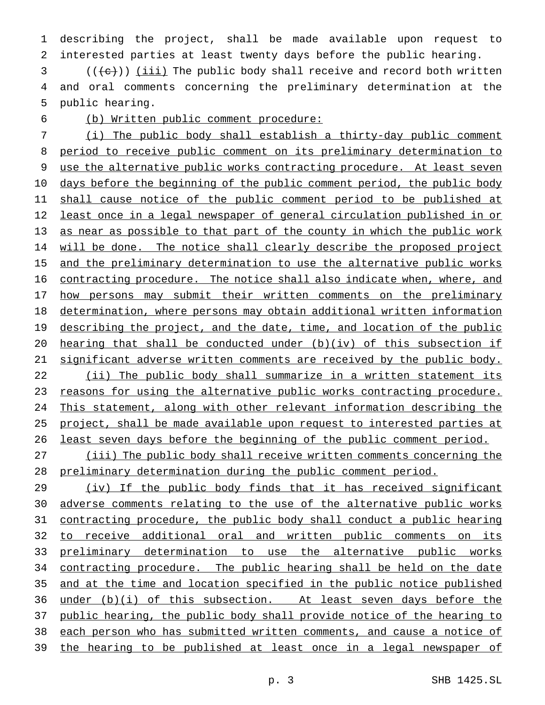describing the project, shall be made available upon request to interested parties at least twenty days before the public hearing.

 (( $\text{+e}$ )) <u>(iii)</u> The public body shall receive and record both written and oral comments concerning the preliminary determination at the public hearing.

(b) Written public comment procedure:

 (i) The public body shall establish a thirty-day public comment period to receive public comment on its preliminary determination to use the alternative public works contracting procedure. At least seven days before the beginning of the public comment period, the public body 11 shall cause notice of the public comment period to be published at least once in a legal newspaper of general circulation published in or as near as possible to that part of the county in which the public work will be done. The notice shall clearly describe the proposed project 15 and the preliminary determination to use the alternative public works contracting procedure. The notice shall also indicate when, where, and 17 how persons may submit their written comments on the preliminary determination, where persons may obtain additional written information 19 describing the project, and the date, time, and location of the public hearing that shall be conducted under (b)(iv) of this subsection if significant adverse written comments are received by the public body. (ii) The public body shall summarize in a written statement its 23 reasons for using the alternative public works contracting procedure. This statement, along with other relevant information describing the project, shall be made available upon request to interested parties at least seven days before the beginning of the public comment period. (iii) The public body shall receive written comments concerning the

preliminary determination during the public comment period.

 (iv) If the public body finds that it has received significant adverse comments relating to the use of the alternative public works contracting procedure, the public body shall conduct a public hearing to receive additional oral and written public comments on its preliminary determination to use the alternative public works 34 contracting procedure. The public hearing shall be held on the date and at the time and location specified in the public notice published under (b)(i) of this subsection. At least seven days before the public hearing, the public body shall provide notice of the hearing to each person who has submitted written comments, and cause a notice of the hearing to be published at least once in a legal newspaper of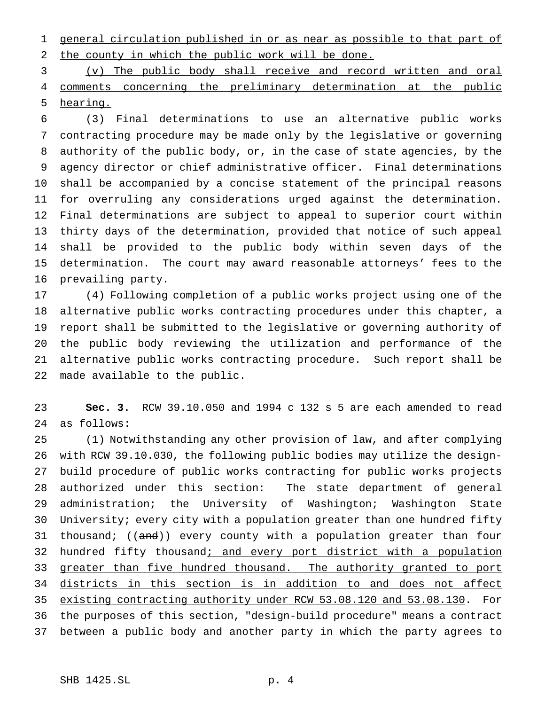general circulation published in or as near as possible to that part of the county in which the public work will be done.

 (v) The public body shall receive and record written and oral comments concerning the preliminary determination at the public hearing.

 (3) Final determinations to use an alternative public works contracting procedure may be made only by the legislative or governing authority of the public body, or, in the case of state agencies, by the agency director or chief administrative officer. Final determinations shall be accompanied by a concise statement of the principal reasons for overruling any considerations urged against the determination. Final determinations are subject to appeal to superior court within thirty days of the determination, provided that notice of such appeal shall be provided to the public body within seven days of the determination. The court may award reasonable attorneys' fees to the prevailing party.

 (4) Following completion of a public works project using one of the alternative public works contracting procedures under this chapter, a report shall be submitted to the legislative or governing authority of the public body reviewing the utilization and performance of the alternative public works contracting procedure. Such report shall be made available to the public.

 **Sec. 3.** RCW 39.10.050 and 1994 c 132 s 5 are each amended to read as follows:

 (1) Notwithstanding any other provision of law, and after complying with RCW 39.10.030, the following public bodies may utilize the design- build procedure of public works contracting for public works projects authorized under this section: The state department of general administration; the University of Washington; Washington State University; every city with a population greater than one hundred fifty 31 thousand; ((and)) every county with a population greater than four 32 hundred fifty thousand; and every port district with a population 33 greater than five hundred thousand. The authority granted to port districts in this section is in addition to and does not affect existing contracting authority under RCW 53.08.120 and 53.08.130. For the purposes of this section, "design-build procedure" means a contract between a public body and another party in which the party agrees to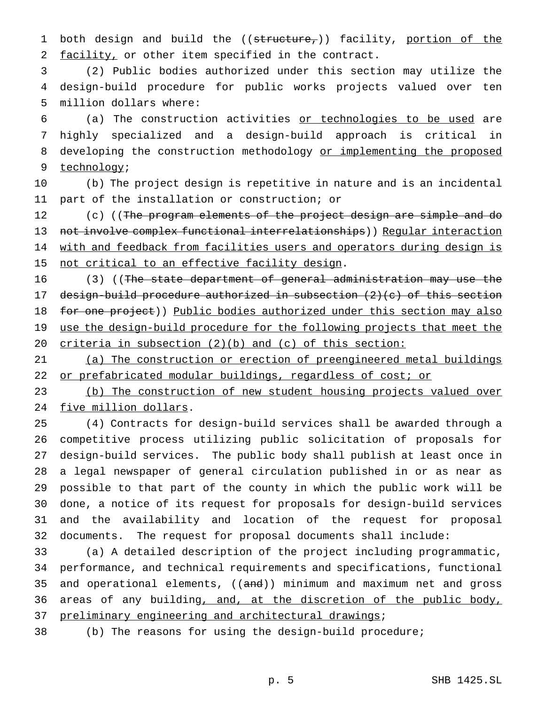1 both design and build the ((structure,)) facility, portion of the facility, or other item specified in the contract.

 (2) Public bodies authorized under this section may utilize the design-build procedure for public works projects valued over ten million dollars where:

 (a) The construction activities or technologies to be used are highly specialized and a design-build approach is critical in 8 developing the construction methodology or implementing the proposed technology;

 (b) The project design is repetitive in nature and is an incidental part of the installation or construction; or

12 (c) ((The program elements of the project design are simple and do 13 not involve complex functional interrelationships)) Reqular interaction 14 with and feedback from facilities users and operators during design is 15 not critical to an effective facility design.

16 (3) ((The state department of general administration may use the design-build procedure authorized in subsection (2)(c) of this section 18 for one project)) Public bodies authorized under this section may also 19 use the design-build procedure for the following projects that meet the criteria in subsection (2)(b) and (c) of this section:

 (a) The construction or erection of preengineered metal buildings 22 or prefabricated modular buildings, regardless of cost; or

 (b) The construction of new student housing projects valued over five million dollars.

 (4) Contracts for design-build services shall be awarded through a competitive process utilizing public solicitation of proposals for design-build services. The public body shall publish at least once in a legal newspaper of general circulation published in or as near as possible to that part of the county in which the public work will be done, a notice of its request for proposals for design-build services and the availability and location of the request for proposal documents. The request for proposal documents shall include:

 (a) A detailed description of the project including programmatic, performance, and technical requirements and specifications, functional 35 and operational elements, ((and)) minimum and maximum net and gross 36 areas of any building, and, at the discretion of the public body, 37 preliminary engineering and architectural drawings;

(b) The reasons for using the design-build procedure;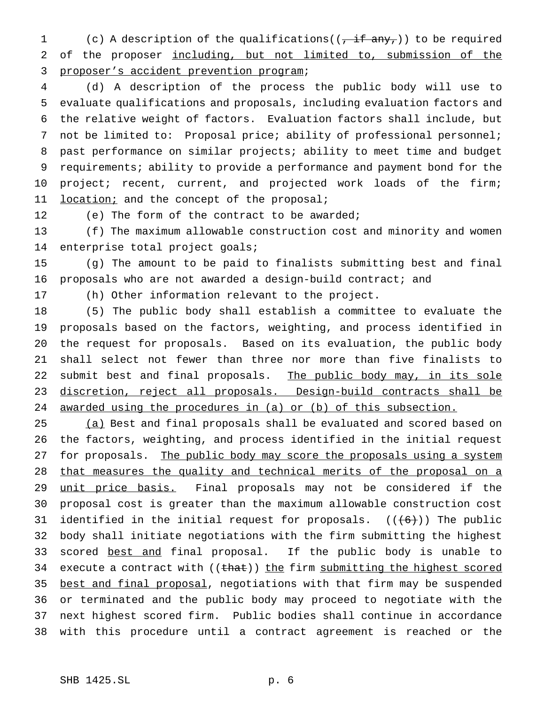1 (c) A description of the qualifications( $(\overline{, if any_1})$ ) to be required of the proposer including, but not limited to, submission of the proposer's accident prevention program;

 (d) A description of the process the public body will use to evaluate qualifications and proposals, including evaluation factors and the relative weight of factors. Evaluation factors shall include, but 7 not be limited to: Proposal price; ability of professional personnel; past performance on similar projects; ability to meet time and budget requirements; ability to provide a performance and payment bond for the 10 project; recent, current, and projected work loads of the firm; 11 location; and the concept of the proposal;

12 (e) The form of the contract to be awarded;

 (f) The maximum allowable construction cost and minority and women enterprise total project goals;

 (g) The amount to be paid to finalists submitting best and final proposals who are not awarded a design-build contract; and

(h) Other information relevant to the project.

 (5) The public body shall establish a committee to evaluate the proposals based on the factors, weighting, and process identified in the request for proposals. Based on its evaluation, the public body shall select not fewer than three nor more than five finalists to 22 submit best and final proposals. The public body may, in its sole discretion, reject all proposals. Design-build contracts shall be awarded using the procedures in (a) or (b) of this subsection.

25 (a) Best and final proposals shall be evaluated and scored based on the factors, weighting, and process identified in the initial request 27 for proposals. The public body may score the proposals using a system that measures the quality and technical merits of the proposal on a 29 unit price basis. Final proposals may not be considered if the proposal cost is greater than the maximum allowable construction cost 31 identified in the initial request for proposals.  $((+6))$  The public body shall initiate negotiations with the firm submitting the highest scored best and final proposal. If the public body is unable to 34 execute a contract with ((that)) the firm submitting the highest scored 35 best and final proposal, negotiations with that firm may be suspended or terminated and the public body may proceed to negotiate with the next highest scored firm. Public bodies shall continue in accordance with this procedure until a contract agreement is reached or the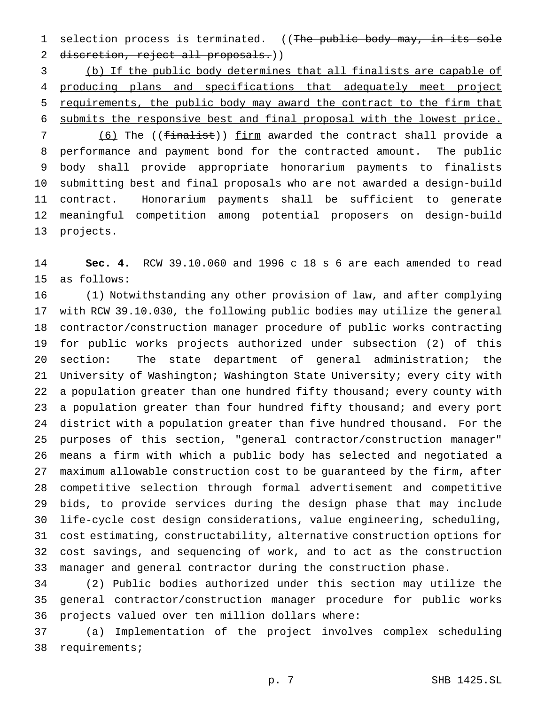1 selection process is terminated. ((The public body may, in its sole 2 discretion, reject all proposals.))

 (b) If the public body determines that all finalists are capable of producing plans and specifications that adequately meet project requirements, the public body may award the contract to the firm that submits the responsive best and final proposal with the lowest price.

7 (6) The ((finalist)) firm awarded the contract shall provide a performance and payment bond for the contracted amount. The public body shall provide appropriate honorarium payments to finalists submitting best and final proposals who are not awarded a design-build contract. Honorarium payments shall be sufficient to generate meaningful competition among potential proposers on design-build projects.

 **Sec. 4.** RCW 39.10.060 and 1996 c 18 s 6 are each amended to read as follows:

 (1) Notwithstanding any other provision of law, and after complying with RCW 39.10.030, the following public bodies may utilize the general contractor/construction manager procedure of public works contracting for public works projects authorized under subsection (2) of this section: The state department of general administration; the University of Washington; Washington State University; every city with 22 a population greater than one hundred fifty thousand; every county with a population greater than four hundred fifty thousand; and every port district with a population greater than five hundred thousand. For the purposes of this section, "general contractor/construction manager" means a firm with which a public body has selected and negotiated a maximum allowable construction cost to be guaranteed by the firm, after competitive selection through formal advertisement and competitive bids, to provide services during the design phase that may include life-cycle cost design considerations, value engineering, scheduling, cost estimating, constructability, alternative construction options for cost savings, and sequencing of work, and to act as the construction manager and general contractor during the construction phase.

 (2) Public bodies authorized under this section may utilize the general contractor/construction manager procedure for public works projects valued over ten million dollars where:

 (a) Implementation of the project involves complex scheduling requirements;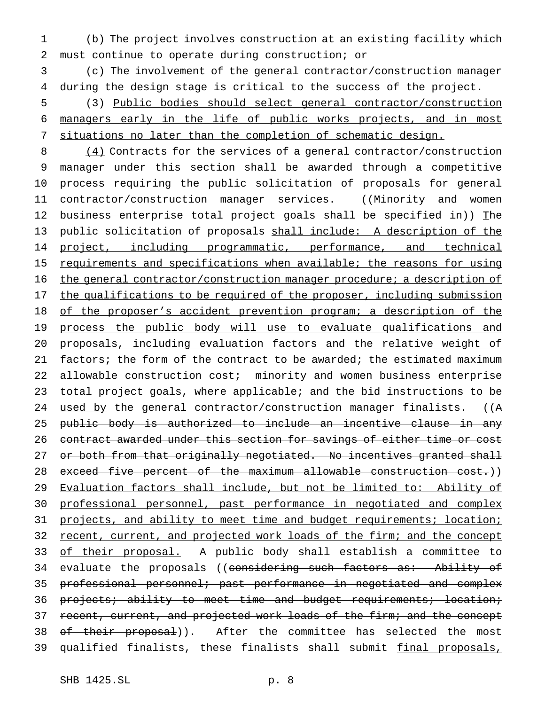1 (b) The project involves construction at an existing facility which 2 must continue to operate during construction; or

3 (c) The involvement of the general contractor/construction manager 4 during the design stage is critical to the success of the project.

5 (3) Public bodies should select general contractor/construction 6 managers early in the life of public works projects, and in most 7 situations no later than the completion of schematic design.

8 (4) Contracts for the services of a general contractor/construction 9 manager under this section shall be awarded through a competitive 10 process requiring the public solicitation of proposals for general 11 contractor/construction manager services. ((Minority and women 12 business enterprise total project goals shall be specified in)) The 13 public solicitation of proposals shall include: A description of the 14 project, including programmatic, performance, and technical 15 requirements and specifications when available; the reasons for using 16 the general contractor/construction manager procedure; a description of 17 the qualifications to be required of the proposer, including submission 18 of the proposer's accident prevention program; a description of the 19 process the public body will use to evaluate qualifications and 20 proposals, including evaluation factors and the relative weight of 21 factors; the form of the contract to be awarded; the estimated maximum 22 allowable construction cost; minority and women business enterprise 23 total project goals, where applicable; and the bid instructions to be 24 used by the general contractor/construction manager finalists. ((A 25 public body is authorized to include an incentive clause in any 26 contract awarded under this section for savings of either time or cost 27 or both from that originally negotiated. No incentives granted shall 28 exceed five percent of the maximum allowable construction cost.)) 29 Evaluation factors shall include, but not be limited to: Ability of 30 professional personnel, past performance in negotiated and complex 31 projects, and ability to meet time and budget requirements; location; 32 recent, current, and projected work loads of the firm; and the concept 33 of their proposal. A public body shall establish a committee to 34 evaluate the proposals ((considering such factors as: Ability of 35 professional personnel; past performance in negotiated and complex 36 projects; ability to meet time and budget requirements; location; 37 recent, current, and projected work loads of the firm; and the concept 38 of their proposal)). After the committee has selected the most 39 qualified finalists, these finalists shall submit final proposals,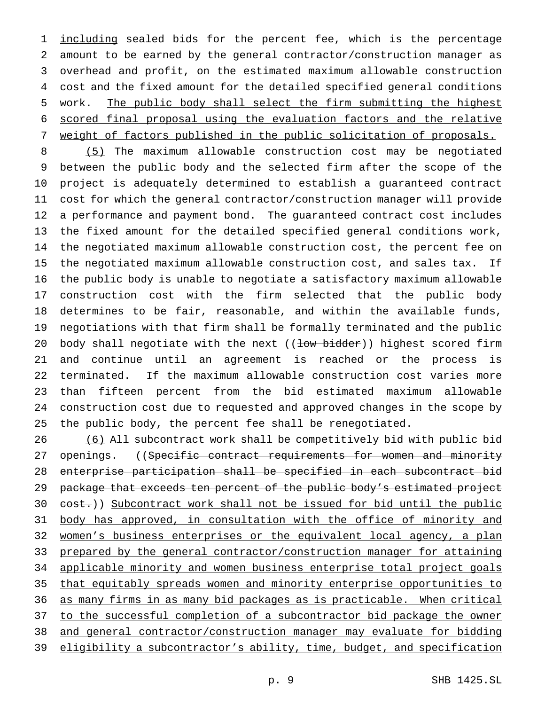1 including sealed bids for the percent fee, which is the percentage amount to be earned by the general contractor/construction manager as overhead and profit, on the estimated maximum allowable construction cost and the fixed amount for the detailed specified general conditions work. The public body shall select the firm submitting the highest scored final proposal using the evaluation factors and the relative weight of factors published in the public solicitation of proposals.

 (5) The maximum allowable construction cost may be negotiated between the public body and the selected firm after the scope of the project is adequately determined to establish a guaranteed contract cost for which the general contractor/construction manager will provide a performance and payment bond. The guaranteed contract cost includes the fixed amount for the detailed specified general conditions work, the negotiated maximum allowable construction cost, the percent fee on the negotiated maximum allowable construction cost, and sales tax. If the public body is unable to negotiate a satisfactory maximum allowable construction cost with the firm selected that the public body determines to be fair, reasonable, and within the available funds, negotiations with that firm shall be formally terminated and the public 20 body shall negotiate with the next ((low bidder)) highest scored firm and continue until an agreement is reached or the process is terminated. If the maximum allowable construction cost varies more than fifteen percent from the bid estimated maximum allowable construction cost due to requested and approved changes in the scope by the public body, the percent fee shall be renegotiated.

 (6) All subcontract work shall be competitively bid with public bid 27 openings. ((Specific contract requirements for women and minority enterprise participation shall be specified in each subcontract bid 29 package that exceeds ten percent of the public body's estimated project 30 cost.)) Subcontract work shall not be issued for bid until the public 31 body has approved, in consultation with the office of minority and women's business enterprises or the equivalent local agency, a plan prepared by the general contractor/construction manager for attaining applicable minority and women business enterprise total project goals that equitably spreads women and minority enterprise opportunities to as many firms in as many bid packages as is practicable. When critical 37 to the successful completion of a subcontractor bid package the owner and general contractor/construction manager may evaluate for bidding 39 eligibility a subcontractor's ability, time, budget, and specification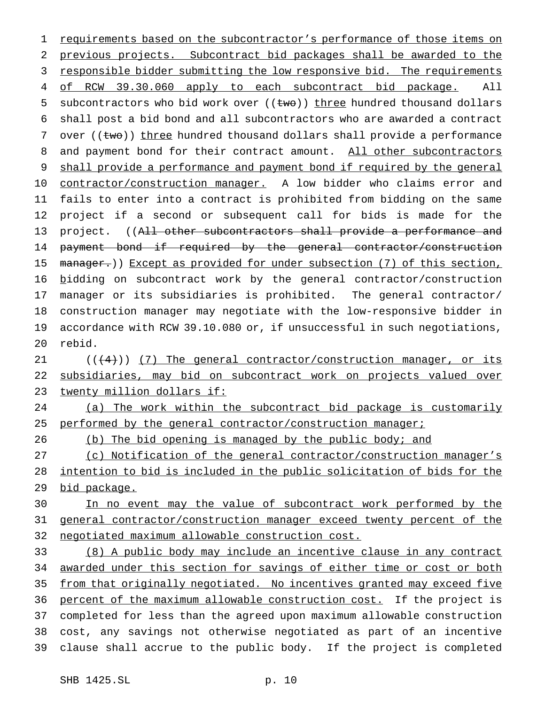1 requirements based on the subcontractor's performance of those items on 2 previous projects. Subcontract bid packages shall be awarded to the 3 responsible bidder submitting the low responsive bid. The requirements 4 of RCW 39.30.060 apply to each subcontract bid package. All 5 subcontractors who bid work over  $((two))$  three hundred thousand dollars 6 shall post a bid bond and all subcontractors who are awarded a contract 7 over (( $t$ w $\Theta$ )) three hundred thousand dollars shall provide a performance 8 and payment bond for their contract amount. All other subcontractors 9 shall provide a performance and payment bond if required by the general 10 contractor/construction manager. A low bidder who claims error and 11 fails to enter into a contract is prohibited from bidding on the same 12 project if a second or subsequent call for bids is made for the 13 project. ((All other subcontractors shall provide a performance and 14 payment bond if required by the general contractor/construction 15 manager.)) Except as provided for under subsection (7) of this section, 16 bidding on subcontract work by the general contractor/construction 17 manager or its subsidiaries is prohibited. The general contractor/ 18 construction manager may negotiate with the low-responsive bidder in 19 accordance with RCW 39.10.080 or, if unsuccessful in such negotiations, 20 rebid.

21  $((+4))$  (7) The general contractor/construction manager, or its 22 subsidiaries, may bid on subcontract work on projects valued over 23 twenty million dollars if:

24 (a) The work within the subcontract bid package is customarily 25 performed by the general contractor/construction manager;

26 (b) The bid opening is managed by the public body; and

27 (c) Notification of the general contractor/construction manager's 28 intention to bid is included in the public solicitation of bids for the 29 bid package.

30 In no event may the value of subcontract work performed by the 31 general contractor/construction manager exceed twenty percent of the 32 negotiated maximum allowable construction cost.

 (8) A public body may include an incentive clause in any contract 34 awarded under this section for savings of either time or cost or both from that originally negotiated. No incentives granted may exceed five percent of the maximum allowable construction cost. If the project is completed for less than the agreed upon maximum allowable construction cost, any savings not otherwise negotiated as part of an incentive clause shall accrue to the public body. If the project is completed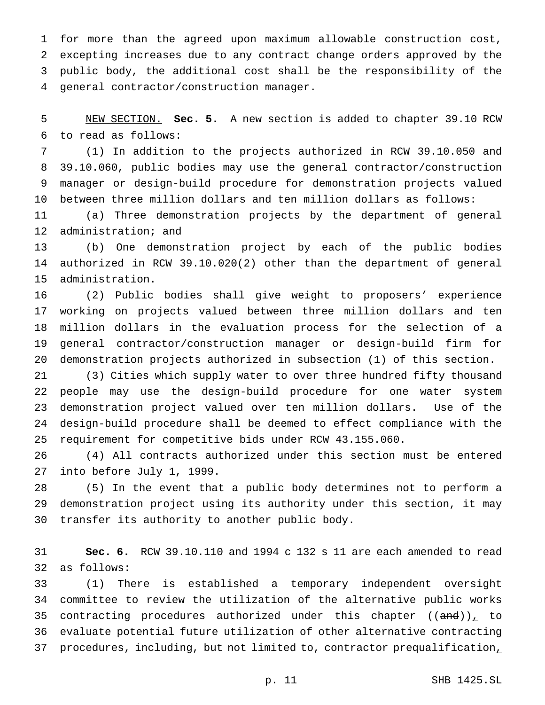for more than the agreed upon maximum allowable construction cost, excepting increases due to any contract change orders approved by the public body, the additional cost shall be the responsibility of the general contractor/construction manager.

 NEW SECTION. **Sec. 5.** A new section is added to chapter 39.10 RCW to read as follows:

 (1) In addition to the projects authorized in RCW 39.10.050 and 39.10.060, public bodies may use the general contractor/construction manager or design-build procedure for demonstration projects valued between three million dollars and ten million dollars as follows:

 (a) Three demonstration projects by the department of general administration; and

 (b) One demonstration project by each of the public bodies authorized in RCW 39.10.020(2) other than the department of general administration.

 (2) Public bodies shall give weight to proposers' experience working on projects valued between three million dollars and ten million dollars in the evaluation process for the selection of a general contractor/construction manager or design-build firm for demonstration projects authorized in subsection (1) of this section.

 (3) Cities which supply water to over three hundred fifty thousand people may use the design-build procedure for one water system demonstration project valued over ten million dollars. Use of the design-build procedure shall be deemed to effect compliance with the requirement for competitive bids under RCW 43.155.060.

 (4) All contracts authorized under this section must be entered into before July 1, 1999.

 (5) In the event that a public body determines not to perform a demonstration project using its authority under this section, it may transfer its authority to another public body.

 **Sec. 6.** RCW 39.10.110 and 1994 c 132 s 11 are each amended to read as follows:

 (1) There is established a temporary independent oversight committee to review the utilization of the alternative public works 35 contracting procedures authorized under this chapter  $((and))_{\perp}$  to evaluate potential future utilization of other alternative contracting 37 procedures, including, but not limited to, contractor prequalification,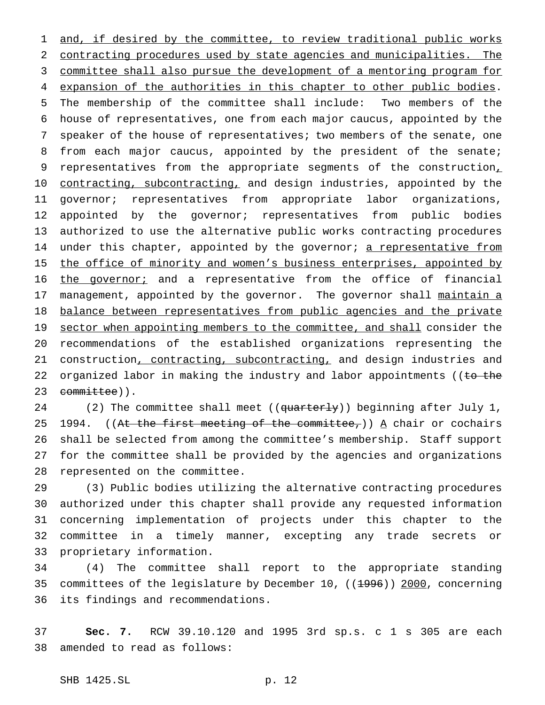1 and, if desired by the committee, to review traditional public works 2 contracting procedures used by state agencies and municipalities. The 3 committee shall also pursue the development of a mentoring program for 4 expansion of the authorities in this chapter to other public bodies. 5 The membership of the committee shall include: Two members of the 6 house of representatives, one from each major caucus, appointed by the 7 speaker of the house of representatives; two members of the senate, one 8 from each major caucus, appointed by the president of the senate; 9 representatives from the appropriate segments of the construction, 10 contracting, subcontracting, and design industries, appointed by the 11 governor; representatives from appropriate labor organizations, 12 appointed by the governor; representatives from public bodies 13 authorized to use the alternative public works contracting procedures 14 under this chapter, appointed by the governor; a representative from 15 the office of minority and women's business enterprises, appointed by 16 the governor; and a representative from the office of financial 17 management, appointed by the governor. The governor shall maintain a 18 balance between representatives from public agencies and the private 19 sector when appointing members to the committee, and shall consider the 20 recommendations of the established organizations representing the 21 construction, contracting, subcontracting, and design industries and 22 organized labor in making the industry and labor appointments ((to the 23 committee)).

24 (2) The committee shall meet ((quarterly)) beginning after July 1, 25 1994. ((At the first meeting of the committee,))  $\Delta$  chair or cochairs 26 shall be selected from among the committee's membership. Staff support 27 for the committee shall be provided by the agencies and organizations 28 represented on the committee.

 (3) Public bodies utilizing the alternative contracting procedures authorized under this chapter shall provide any requested information concerning implementation of projects under this chapter to the committee in a timely manner, excepting any trade secrets or proprietary information.

34 (4) The committee shall report to the appropriate standing 35 committees of the legislature by December 10, ((1996)) 2000, concerning 36 its findings and recommendations.

37 **Sec. 7.** RCW 39.10.120 and 1995 3rd sp.s. c 1 s 305 are each 38 amended to read as follows: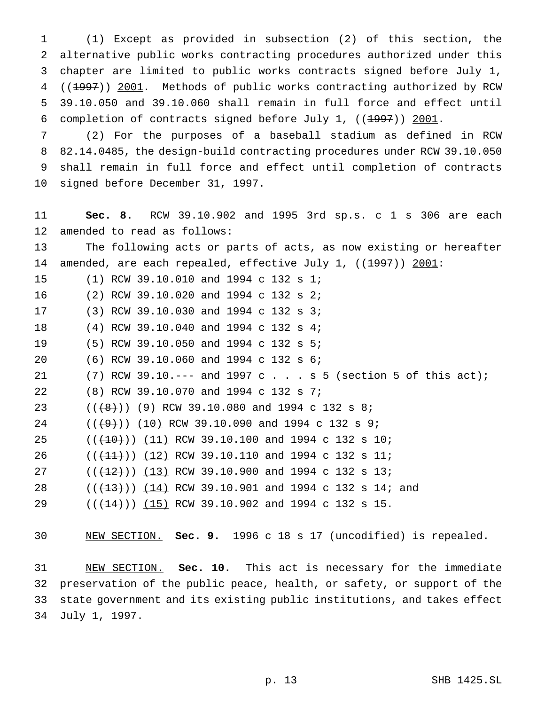(1) Except as provided in subsection (2) of this section, the alternative public works contracting procedures authorized under this chapter are limited to public works contracts signed before July 1, 4 ((1997)) 2001. Methods of public works contracting authorized by RCW 39.10.050 and 39.10.060 shall remain in full force and effect until 6 completion of contracts signed before July 1,  $((1997))$  2001.

 (2) For the purposes of a baseball stadium as defined in RCW 82.14.0485, the design-build contracting procedures under RCW 39.10.050 shall remain in full force and effect until completion of contracts signed before December 31, 1997.

 **Sec. 8.** RCW 39.10.902 and 1995 3rd sp.s. c 1 s 306 are each amended to read as follows:

 The following acts or parts of acts, as now existing or hereafter 14 amended, are each repealed, effective July 1, ((1997)) 2001:

(1) RCW 39.10.010 and 1994 c 132 s 1;

(2) RCW 39.10.020 and 1994 c 132 s 2;

(3) RCW 39.10.030 and 1994 c 132 s 3;

(4) RCW 39.10.040 and 1994 c 132 s 4;

(5) RCW 39.10.050 and 1994 c 132 s 5;

(6) RCW 39.10.060 and 1994 c 132 s 6;

21 (7) RCW 39.10.--- and 1997 c . . . s 5 (section 5 of this act);

(8) RCW 39.10.070 and 1994 c 132 s 7;

23  $((+8))$   $(9)$  RCW 39.10.080 and 1994 c 132 s 8;

24 ( $(\frac{49}{10})$  (10) RCW 39.10.090 and 1994 c 132 s 9;

25 (( $(10)$ )) (11) RCW 39.10.100 and 1994 c 132 s 10;

26 (( $(11)$ )) (12) RCW 39.10.110 and 1994 c 132 s 11;

27 ( $(\frac{12}{12})$ ) (13) RCW 39.10.900 and 1994 c 132 s 13;

28 ((<del>(13)</del>)) (14) RCW 39.10.901 and 1994 c 132 s 14; and

29 (( $(14)$ )) (15) RCW 39.10.902 and 1994 c 132 s 15.

NEW SECTION. **Sec. 9.** 1996 c 18 s 17 (uncodified) is repealed.

 NEW SECTION. **Sec. 10.** This act is necessary for the immediate preservation of the public peace, health, or safety, or support of the state government and its existing public institutions, and takes effect July 1, 1997.